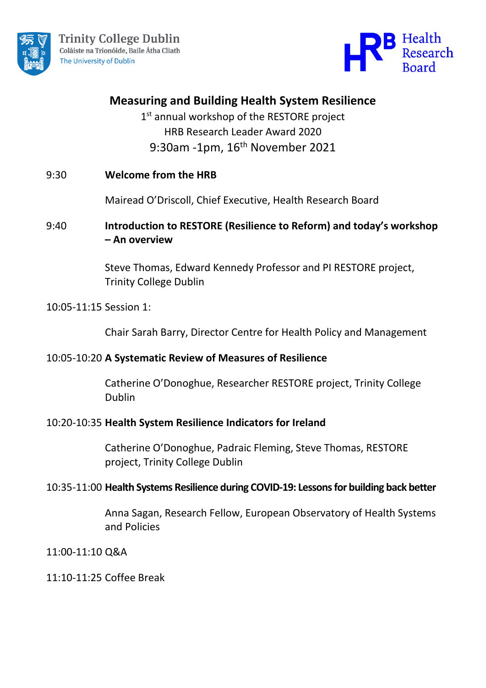



# **Measuring and Building Health System Resilience**

1<sup>st</sup> annual workshop of the RESTORE project HRB Research Leader Award 2020 9:30am -1pm, 16<sup>th</sup> November 2021

### 9:30 **Welcome from the HRB**

Mairead O'Driscoll, Chief Executive, Health Research Board

## 9:40 **Introduction to RESTORE (Resilience to Reform) and today's workshop – An overview**

Steve Thomas, Edward Kennedy Professor and PI RESTORE project, Trinity College Dublin

#### 10:05-11:15 Session 1:

Chair Sarah Barry, Director Centre for Health Policy and Management

#### 10:05-10:20 **A Systematic Review of Measures of Resilience**

Catherine O'Donoghue, Researcher RESTORE project, Trinity College Dublin

#### 10:20-10:35 **Health System Resilience Indicators for Ireland**

Catherine O'Donoghue, Padraic Fleming, Steve Thomas, RESTORE project, Trinity College Dublin

#### 10:35-11:00 **Health Systems Resilience during COVID-19: Lessons for building back better**

Anna Sagan, Research Fellow, European Observatory of Health Systems and Policies

11:00-11:10 Q&A

#### 11:10-11:25 Coffee Break